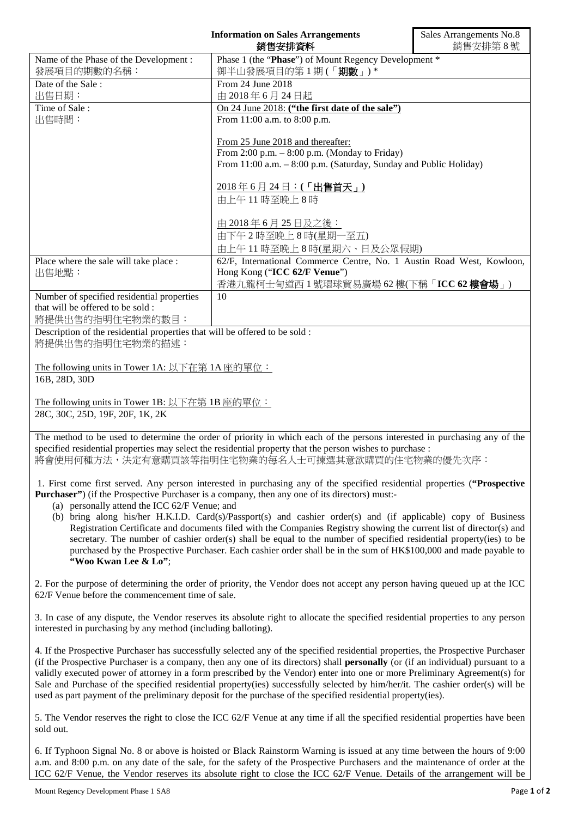| <b>Information on Sales Arrangements</b><br>銷售安排資料                                                                                                                                                                                 |                                                                            | Sales Arrangements No.8<br>銷售安排第8號 |  |
|------------------------------------------------------------------------------------------------------------------------------------------------------------------------------------------------------------------------------------|----------------------------------------------------------------------------|------------------------------------|--|
| Name of the Phase of the Development:<br>發展項目的期數的名稱:                                                                                                                                                                               | Phase 1 (the "Phase") of Mount Regency Development *<br>御半山發展項目的第1期(「期數」)* |                                    |  |
| Date of the Sale:                                                                                                                                                                                                                  | From 24 June 2018                                                          |                                    |  |
| 出售日期:                                                                                                                                                                                                                              | 由 2018年6月24日起                                                              |                                    |  |
| Time of Sale:                                                                                                                                                                                                                      | On 24 June 2018: ("the first date of the sale")                            |                                    |  |
| 出售時間:                                                                                                                                                                                                                              | From 11:00 a.m. to 8:00 p.m.                                               |                                    |  |
|                                                                                                                                                                                                                                    | From 25 June 2018 and thereafter:                                          |                                    |  |
|                                                                                                                                                                                                                                    | From 2:00 p.m. $-$ 8:00 p.m. (Monday to Friday)                            |                                    |  |
|                                                                                                                                                                                                                                    | From 11:00 a.m. - 8:00 p.m. (Saturday, Sunday and Public Holiday)          |                                    |  |
|                                                                                                                                                                                                                                    | 2018年6月24日:(「出售首天」)                                                        |                                    |  |
|                                                                                                                                                                                                                                    | 由上午11時至晚上8時                                                                |                                    |  |
|                                                                                                                                                                                                                                    | 由 2018年6月25日及之後:                                                           |                                    |  |
|                                                                                                                                                                                                                                    | 由下午2時至晚上8時(星期一至五)                                                          |                                    |  |
|                                                                                                                                                                                                                                    | 由上午11時至晚上8時(星期六、日及公眾假期)                                                    |                                    |  |
| Place where the sale will take place :                                                                                                                                                                                             | 62/F, International Commerce Centre, No. 1 Austin Road West, Kowloon,      |                                    |  |
| 出售地點:                                                                                                                                                                                                                              | Hong Kong ("ICC 62/F Venue")                                               |                                    |  |
|                                                                                                                                                                                                                                    | 香港九龍柯士甸道西1號環球貿易廣場 62樓(下稱「ICC 62樓會場」)                                       |                                    |  |
| Number of specified residential properties                                                                                                                                                                                         | 10                                                                         |                                    |  |
| that will be offered to be sold :                                                                                                                                                                                                  |                                                                            |                                    |  |
| 將提供出售的指明住宅物業的數目:                                                                                                                                                                                                                   |                                                                            |                                    |  |
| Description of the residential properties that will be offered to be sold :                                                                                                                                                        |                                                                            |                                    |  |
| 將提供出售的指明住宅物業的描述:                                                                                                                                                                                                                   |                                                                            |                                    |  |
| The following units in Tower 1A: 以下在第 1A 座的單位:                                                                                                                                                                                     |                                                                            |                                    |  |
| 16B, 28D, 30D                                                                                                                                                                                                                      |                                                                            |                                    |  |
| The following units in Tower 1B: 以下在第 1B 座的單位:                                                                                                                                                                                     |                                                                            |                                    |  |
| 28C, 30C, 25D, 19F, 20F, 1K, 2K                                                                                                                                                                                                    |                                                                            |                                    |  |
|                                                                                                                                                                                                                                    |                                                                            |                                    |  |
| The method to be used to determine the order of priority in which each of the persons interested in purchasing any of the                                                                                                          |                                                                            |                                    |  |
| specified residential properties may select the residential property that the person wishes to purchase :<br>將會使用何種方法,決定有意購買該等指明住宅物業的每名人士可揀選其意欲購買的住宅物業的優先次序:                                                                       |                                                                            |                                    |  |
|                                                                                                                                                                                                                                    |                                                                            |                                    |  |
| 1. First come first served. Any person interested in purchasing any of the specified residential properties ("Prospective<br><b>Purchaser</b> ") (if the Prospective Purchaser is a company, then any one of its directors) must:- |                                                                            |                                    |  |
| (a) personally attend the ICC 62/F Venue; and                                                                                                                                                                                      |                                                                            |                                    |  |
| $\mathbf{r}$ $\mathbf{n}$ $\mathbf{r}$                                                                                                                                                                                             |                                                                            |                                    |  |

(b) bring along his/her H.K.I.D. Card(s)/Passport(s) and cashier order(s) and (if applicable) copy of Business Registration Certificate and documents filed with the Companies Registry showing the current list of director(s) and secretary. The number of cashier order(s) shall be equal to the number of specified residential property(ies) to be purchased by the Prospective Purchaser. Each cashier order shall be in the sum of HK\$100,000 and made payable to **"Woo Kwan Lee & Lo"**;

2. For the purpose of determining the order of priority, the Vendor does not accept any person having queued up at the ICC 62/F Venue before the commencement time of sale.

3. In case of any dispute, the Vendor reserves its absolute right to allocate the specified residential properties to any person interested in purchasing by any method (including balloting).

4. If the Prospective Purchaser has successfully selected any of the specified residential properties, the Prospective Purchaser (if the Prospective Purchaser is a company, then any one of its directors) shall **personally** (or (if an individual) pursuant to a validly executed power of attorney in a form prescribed by the Vendor) enter into one or more Preliminary Agreement(s) for Sale and Purchase of the specified residential property(ies) successfully selected by him/her/it. The cashier order(s) will be used as part payment of the preliminary deposit for the purchase of the specified residential property(ies).

5. The Vendor reserves the right to close the ICC 62/F Venue at any time if all the specified residential properties have been sold out.

6. If Typhoon Signal No. 8 or above is hoisted or Black Rainstorm Warning is issued at any time between the hours of 9:00 a.m. and 8:00 p.m. on any date of the sale, for the safety of the Prospective Purchasers and the maintenance of order at the ICC 62/F Venue, the Vendor reserves its absolute right to close the ICC 62/F Venue. Details of the arrangement will be